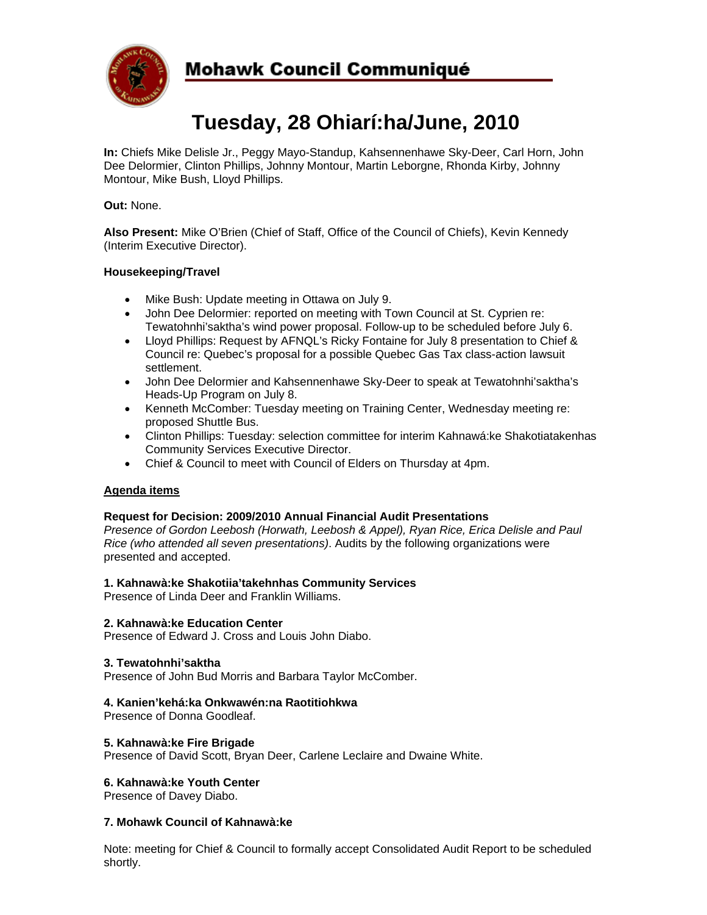

## **Mohawk Council Communiqué**

# **Tuesday, 28 Ohiarí:ha/June, 2010**

**In:** Chiefs Mike Delisle Jr., Peggy Mayo-Standup, Kahsennenhawe Sky-Deer, Carl Horn, John Dee Delormier, Clinton Phillips, Johnny Montour, Martin Leborgne, Rhonda Kirby, Johnny Montour, Mike Bush, Lloyd Phillips.

#### **Out:** None.

**Also Present:** Mike O'Brien (Chief of Staff, Office of the Council of Chiefs), Kevin Kennedy (Interim Executive Director).

#### **Housekeeping/Travel**

- Mike Bush: Update meeting in Ottawa on July 9.
- John Dee Delormier: reported on meeting with Town Council at St. Cyprien re: Tewatohnhi'saktha's wind power proposal. Follow-up to be scheduled before July 6.
- Lloyd Phillips: Request by AFNQL's Ricky Fontaine for July 8 presentation to Chief & Council re: Quebec's proposal for a possible Quebec Gas Tax class-action lawsuit settlement.
- John Dee Delormier and Kahsennenhawe Sky-Deer to speak at Tewatohnhi'saktha's Heads-Up Program on July 8.
- Kenneth McComber: Tuesday meeting on Training Center, Wednesday meeting re: proposed Shuttle Bus.
- Clinton Phillips: Tuesday: selection committee for interim Kahnawá:ke Shakotiatakenhas Community Services Executive Director.
- Chief & Council to meet with Council of Elders on Thursday at 4pm.

#### **Agenda items**

#### **Request for Decision: 2009/2010 Annual Financial Audit Presentations**

*Presence of Gordon Leebosh (Horwath, Leebosh & Appel), Ryan Rice, Erica Delisle and Paul Rice (who attended all seven presentations)*. Audits by the following organizations were presented and accepted.

#### **1. Kahnawà:ke Shakotiia'takehnhas Community Services**

Presence of Linda Deer and Franklin Williams.

#### **2. Kahnawà:ke Education Center**

Presence of Edward J. Cross and Louis John Diabo.

#### **3. Tewatohnhi'saktha**

Presence of John Bud Morris and Barbara Taylor McComber.

#### **4. Kanien'kehá:ka Onkwawén:na Raotitiohkwa**

Presence of Donna Goodleaf.

#### **5. Kahnawà:ke Fire Brigade**

Presence of David Scott, Bryan Deer, Carlene Leclaire and Dwaine White.

#### **6. Kahnawà:ke Youth Center**

Presence of Davey Diabo.

#### **7. Mohawk Council of Kahnawà:ke**

Note: meeting for Chief & Council to formally accept Consolidated Audit Report to be scheduled shortly.